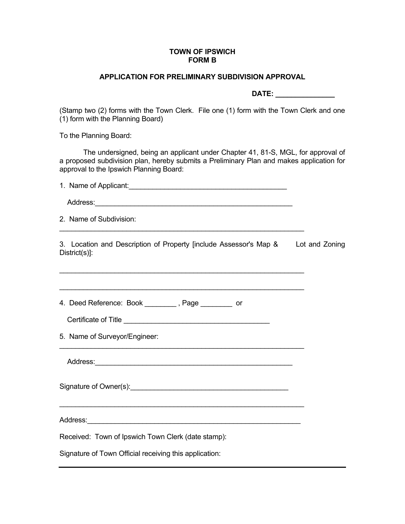### **TOWN OF IPSWICH FORM B**

## **APPLICATION FOR PRELIMINARY SUBDIVISION APPROVAL**

 **DATE: \_\_\_\_\_\_\_\_\_\_\_\_\_\_\_**

(Stamp two (2) forms with the Town Clerk. File one (1) form with the Town Clerk and one (1) form with the Planning Board)

To the Planning Board:

 The undersigned, being an applicant under Chapter 41, 81-S, MGL, for approval of a proposed subdivision plan, hereby submits a Preliminary Plan and makes application for approval to the Ipswich Planning Board:

| 2. Name of Subdivision:                                                                                                                 |  |
|-----------------------------------------------------------------------------------------------------------------------------------------|--|
| 3. Location and Description of Property [include Assessor's Map & Lot and Zoning<br>District(s)]:                                       |  |
| ,我们也不能在这里的时候,我们也不能在这里的时候,我们也不能会在这里的时候,我们也不能会在这里的时候,我们也不能会在这里的时候,我们也不能会在这里的时候,我们也<br>4. Deed Reference: Book _________, Page ________ or |  |
| 5. Name of Surveyor/Engineer:                                                                                                           |  |
|                                                                                                                                         |  |
|                                                                                                                                         |  |
|                                                                                                                                         |  |
| Received: Town of Ipswich Town Clerk (date stamp):                                                                                      |  |
| Signature of Town Official receiving this application:                                                                                  |  |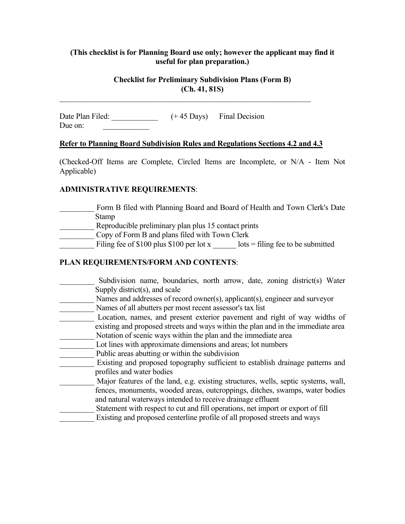## **(This checklist is for Planning Board use only; however the applicant may find it useful for plan preparation.)**

## **Checklist for Preliminary Subdivision Plans (Form B) (Ch. 41, 81S)**

Date Plan Filed: \_\_\_\_\_\_\_\_\_\_\_\_\_\_ (+45 Days) Final Decision Due on:

#### **Refer to Planning Board Subdivision Rules and Regulations Sections 4.2 and 4.3**

 $\mathcal{L}_\mathcal{L}$  , and the contribution of the contribution of the contribution of the contribution of the contribution of the contribution of the contribution of the contribution of the contribution of the contribution of

(Checked-Off Items are Complete, Circled Items are Incomplete, or N/A - Item Not Applicable)

### **ADMINISTRATIVE REQUIREMENTS**:

Form B filed with Planning Board and Board of Health and Town Clerk's Date Stamp Reproducible preliminary plan plus 15 contact prints \_\_\_\_\_\_\_\_\_ Copy of Form B and plans filed with Town Clerk Filing fee of \$100 plus \$100 per lot x  $\qquad$  lots = filing fee to be submitted

## **PLAN REQUIREMENTS/FORM AND CONTENTS**:

Subdivision name, boundaries, north arrow, date, zoning district(s) Water Supply district(s), and scale \_\_\_\_\_\_\_\_\_ Names and addresses of record owner(s), applicant(s), engineer and surveyor \_\_\_\_\_\_\_\_\_ Names of all abutters per most recent assessor's tax list \_\_\_\_\_\_\_\_\_ Location, names, and present exterior pavement and right of way widths of existing and proposed streets and ways within the plan and in the immediate area Notation of scenic ways within the plan and the immediate area Lot lines with approximate dimensions and areas; lot numbers \_\_\_\_\_\_\_\_\_ Public areas abutting or within the subdivision \_\_\_\_\_\_\_\_\_ Existing and proposed topography sufficient to establish drainage patterns and profiles and water bodies Major features of the land, e.g. existing structures, wells, septic systems, wall, fences, monuments, wooded areas, outcroppings, ditches, swamps, water bodies and natural waterways intended to receive drainage effluent Statement with respect to cut and fill operations, net import or export of fill Existing and proposed centerline profile of all proposed streets and ways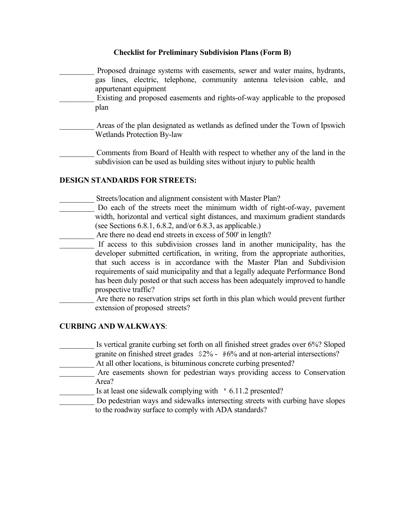- \_\_\_\_\_\_\_\_\_ Proposed drainage systems with easements, sewer and water mains, hydrants, gas lines, electric, telephone, community antenna television cable, and appurtenant equipment Existing and proposed easements and rights-of-way applicable to the proposed plan Areas of the plan designated as wetlands as defined under the Town of Ipswich Wetlands Protection By-law Comments from Board of Health with respect to whether any of the land in the subdivision can be used as building sites without injury to public health **DESIGN STANDARDS FOR STREETS:** Streets/location and alignment consistent with Master Plan? Do each of the streets meet the minimum width of right-of-way, pavement width, horizontal and vertical sight distances, and maximum gradient standards (see Sections 6.8.1, 6.8.2, and/or 6.8.3, as applicable.) \_\_\_\_\_\_\_\_\_ Are there no dead end streets in excess of 500' in length?
	- If access to this subdivision crosses land in another municipality, has the developer submitted certification, in writing, from the appropriate authorities, that such access is in accordance with the Master Plan and Subdivision requirements of said municipality and that a legally adequate Performance Bond has been duly posted or that such access has been adequately improved to handle prospective traffic?
	- Are there no reservation strips set forth in this plan which would prevent further extension of proposed streets?

### **CURBING AND WALKWAYS**:

- Is vertical granite curbing set forth on all finished street grades over 6%? Sloped granite on finished street grades \$2% - #6% and at non-arterial intersections?
- At all other locations, is bituminous concrete curbing presented?
- \_\_\_\_\_\_\_\_\_ Are easements shown for pedestrian ways providing access to Conservation Area?
- Is at least one sidewalk complying with ' 6.11.2 presented?
- Do pedestrian ways and sidewalks intersecting streets with curbing have slopes to the roadway surface to comply with ADA standards?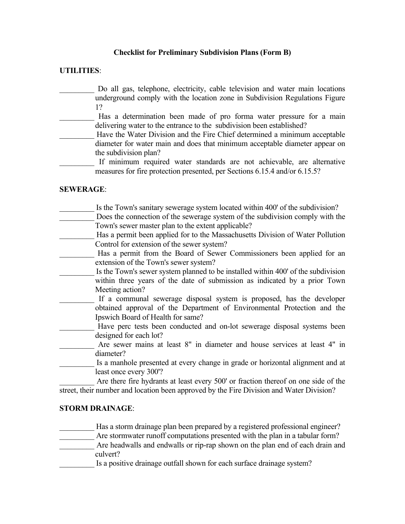### **UTILITIES**:

- Do all gas, telephone, electricity, cable television and water main locations underground comply with the location zone in Subdivision Regulations Figure 1?
- Has a determination been made of pro forma water pressure for a main delivering water to the entrance to the subdivision been established?
- Have the Water Division and the Fire Chief determined a minimum acceptable diameter for water main and does that minimum acceptable diameter appear on the subdivision plan?
- If minimum required water standards are not achievable, are alternative measures for fire protection presented, per Sections 6.15.4 and/or 6.15.5?

### **SEWERAGE**:

- Is the Town's sanitary sewerage system located within 400' of the subdivision?
- Does the connection of the sewerage system of the subdivision comply with the Town's sewer master plan to the extent applicable?
- Has a permit been applied for to the Massachusetts Division of Water Pollution Control for extension of the sewer system?
- Has a permit from the Board of Sewer Commissioners been applied for an extension of the Town's sewer system?
- Is the Town's sewer system planned to be installed within 400' of the subdivision within three years of the date of submission as indicated by a prior Town Meeting action?
- If a communal sewerage disposal system is proposed, has the developer obtained approval of the Department of Environmental Protection and the Ipswich Board of Health for same?
- Have perc tests been conducted and on-lot sewerage disposal systems been designed for each lot?
- Are sewer mains at least 8" in diameter and house services at least 4" in diameter?
- Is a manhole presented at every change in grade or horizontal alignment and at least once every 300'?

Are there fire hydrants at least every 500' or fraction thereof on one side of the street, their number and location been approved by the Fire Division and Water Division?

## **STORM DRAINAGE**:

- Has a storm drainage plan been prepared by a registered professional engineer?
- Are stormwater runoff computations presented with the plan in a tabular form?
- Are headwalls and endwalls or rip-rap shown on the plan end of each drain and culvert?
- Is a positive drainage outfall shown for each surface drainage system?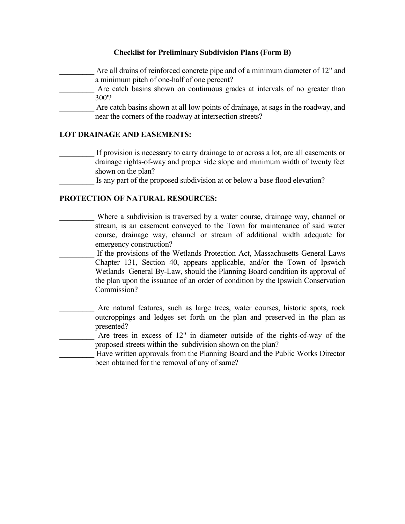Are all drains of reinforced concrete pipe and of a minimum diameter of 12" and a minimum pitch of one-half of one percent? Are catch basins shown on continuous grades at intervals of no greater than 300'? Are catch basins shown at all low points of drainage, at sags in the roadway, and near the corners of the roadway at intersection streets?

### **LOT DRAINAGE AND EASEMENTS:**

- If provision is necessary to carry drainage to or across a lot, are all easements or drainage rights-of-way and proper side slope and minimum width of twenty feet shown on the plan?
	- Is any part of the proposed subdivision at or below a base flood elevation?

### **PROTECTION OF NATURAL RESOURCES:**

- Where a subdivision is traversed by a water course, drainage way, channel or stream, is an easement conveyed to the Town for maintenance of said water course, drainage way, channel or stream of additional width adequate for emergency construction?
- If the provisions of the Wetlands Protection Act, Massachusetts General Laws Chapter 131, Section 40, appears applicable, and/or the Town of Ipswich Wetlands General By-Law, should the Planning Board condition its approval of the plan upon the issuance of an order of condition by the Ipswich Conservation Commission?
- Are natural features, such as large trees, water courses, historic spots, rock outcroppings and ledges set forth on the plan and preserved in the plan as presented?
	- Are trees in excess of 12" in diameter outside of the rights-of-way of the proposed streets within the subdivision shown on the plan?
- Have written approvals from the Planning Board and the Public Works Director been obtained for the removal of any of same?